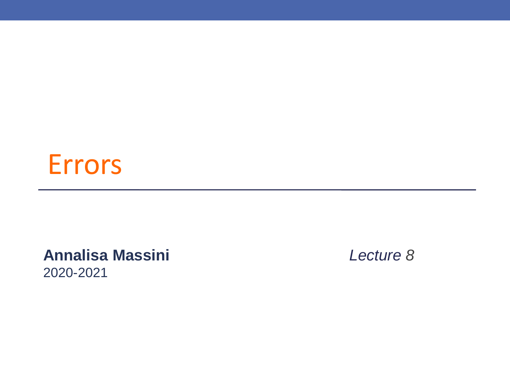#### Errors

**Annalisa Massini** *Lecture 8* 2020-2021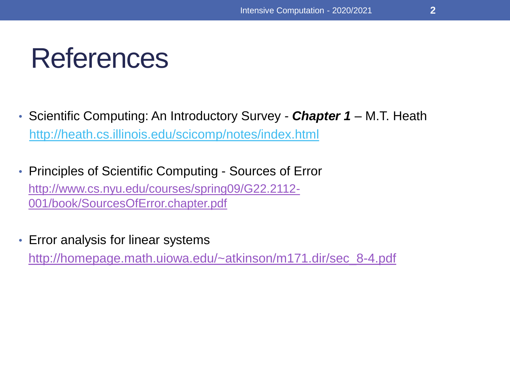## References

- Scientific Computing: An Introductory Survey *Chapter 1* M.T. Heath <http://heath.cs.illinois.edu/scicomp/notes/index.html>
- Principles of Scientific Computing Sources of Error [http://www.cs.nyu.edu/courses/spring09/G22.2112-](http://www.cs.nyu.edu/courses/spring09/G22.2112-001/book/SourcesOfError.chapter.pdf) 001/book/SourcesOfError.chapter.pdf
- Error analysis for linear systems [http://homepage.math.uiowa.edu/~atkinson/m171.dir/sec\\_8-4.pdf](http://homepage.math.uiowa.edu/~atkinson/m171.dir/sec_8-4.pdf)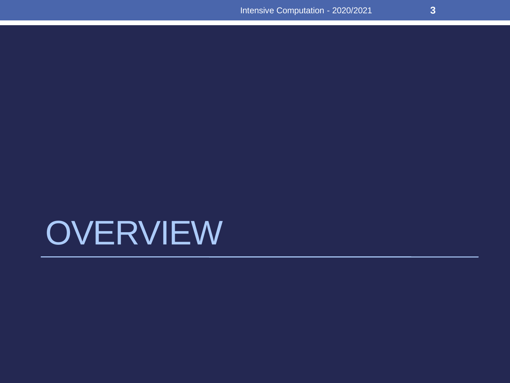## **OVERVIEW**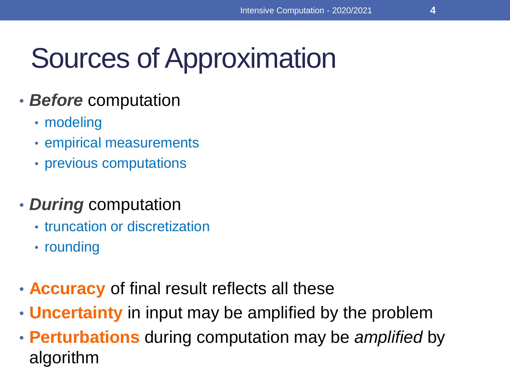## Sources of Approximation

#### • *Before* computation

- modeling
- empirical measurements
- previous computations
- *During* computation
	- truncation or discretization
	- rounding
- **Accuracy** of final result reflects all these
- **Uncertainty** in input may be amplified by the problem
- **Perturbations** during computation may be *amplified* by algorithm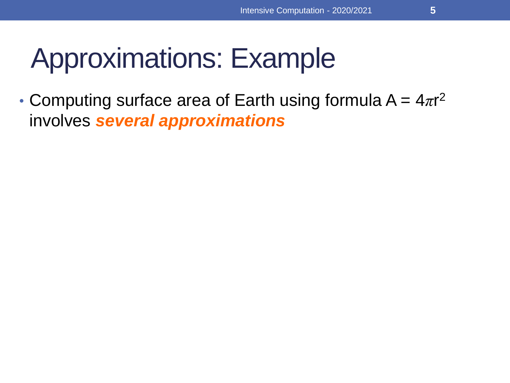• Computing surface area of Earth using formula  $A = 4\pi r^2$ involves *several approximations*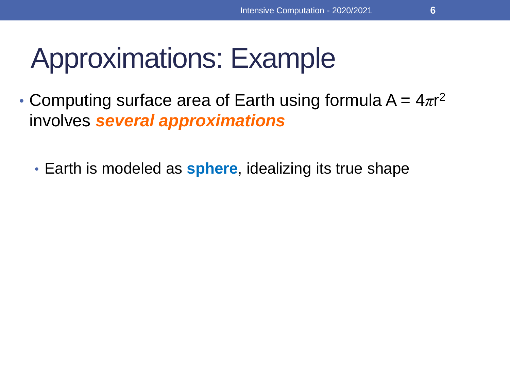- Computing surface area of Earth using formula  $A = 4\pi r^2$ involves *several approximations*
	- Earth is modeled as **sphere**, idealizing its true shape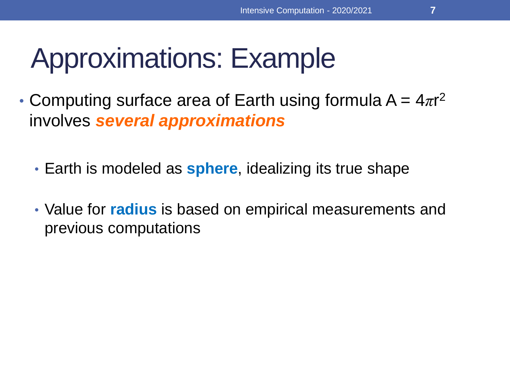- Computing surface area of Earth using formula  $A = 4\pi r^2$ involves *several approximations*
	- Earth is modeled as **sphere**, idealizing its true shape
	- Value for **radius** is based on empirical measurements and previous computations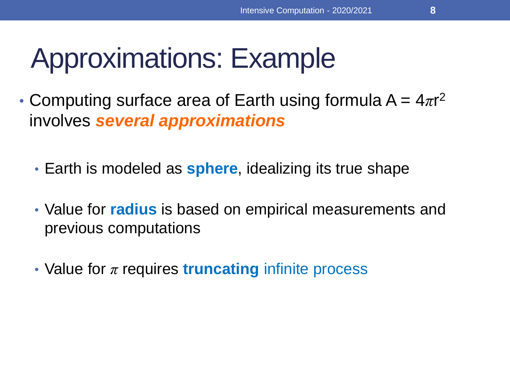- Computing surface area of Earth using formula  $A = 4\pi r^2$ involves *several approximations*
	- Earth is modeled as **sphere**, idealizing its true shape
	- Value for **radius** is based on empirical measurements and previous computations
	- Value for *π* requires **truncating** infinite process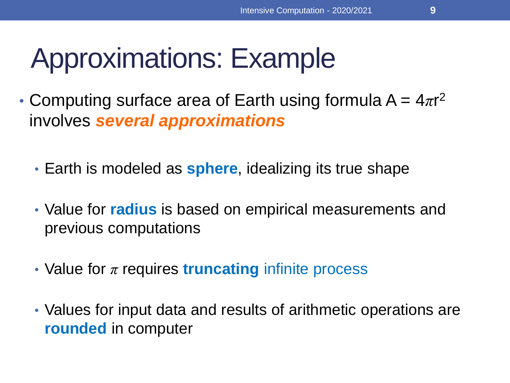- Computing surface area of Earth using formula  $A = 4\pi r^2$ involves *several approximations*
	- Earth is modeled as **sphere**, idealizing its true shape
	- Value for **radius** is based on empirical measurements and previous computations
	- Value for *π* requires **truncating** infinite process
	- Values for input data and results of arithmetic operations are **rounded** in computer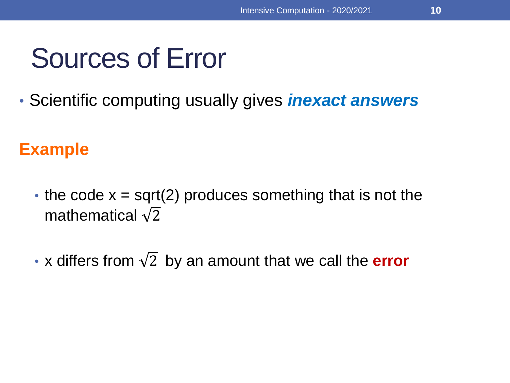• Scientific computing usually gives *inexact answers*

#### **Example**

- the code  $x = sqrt(2)$  produces something that is not the mathematical  $\sqrt{2}$
- x differs from  $\sqrt{2}$  by an amount that we call the **error**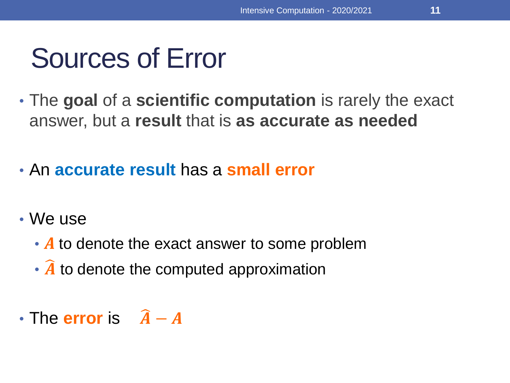- The **goal** of a **scientific computation** is rarely the exact answer, but a **result** that is **as accurate as needed**
- An **accurate result** has a **small error**
- We use
	- A to denote the exact answer to some problem
	- $\cdot$   $\hat{A}$  to denote the computed approximation
- The **error** is  $\hat{A} A$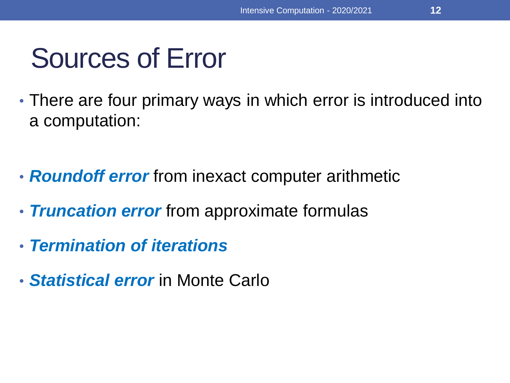- There are four primary ways in which error is introduced into a computation:
- *Roundoff error* from inexact computer arithmetic
- *Truncation error* from approximate formulas
- *Termination of iterations*
- *Statistical error* in Monte Carlo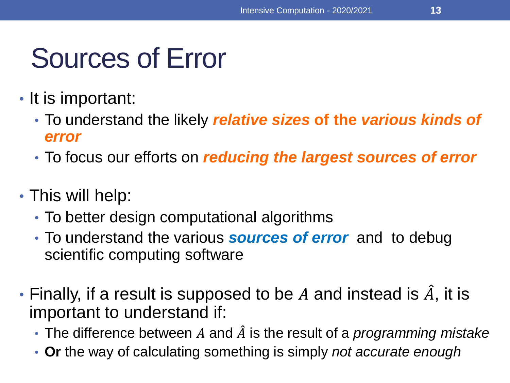- It is important:
	- To understand the likely *relative sizes* **of the** *various kinds of error*
	- To focus our efforts on *reducing the largest sources of error*
- This will help:
	- To better design computational algorithms
	- To understand the various *sources of error* and to debug scientific computing software
- Finally, if a result is supposed to be A and instead is  $\hat{A}$ , it is important to understand if:
	- $\cdot$  The difference between  $A$  and  $\hat{A}$  is the result of a *programming mistake*
	- **Or** the way of calculating something is simply *not accurate enough*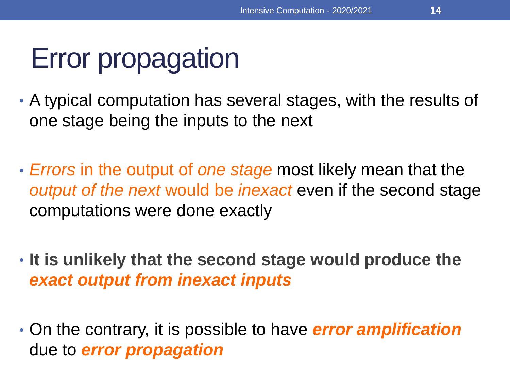## Error propagation

- A typical computation has several stages, with the results of one stage being the inputs to the next
- *Errors* in the output of *one stage* most likely mean that the *output of the next* would be *inexact* even if the second stage computations were done exactly
- **It is unlikely that the second stage would produce the**  *exact output from inexact inputs*
- On the contrary, it is possible to have *error amplification*  due to *error propagation*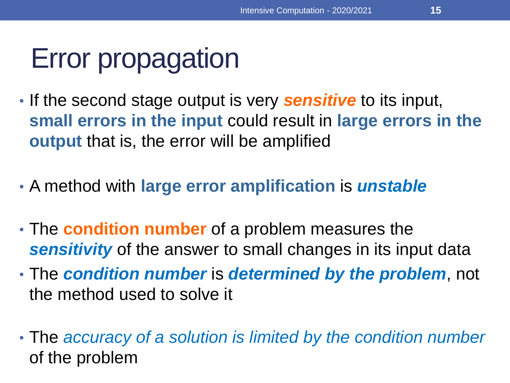## Error propagation

- If the second stage output is very *sensitive* to its input, **small errors in the input** could result in **large errors in the output** that is, the error will be amplified
- A method with **large error amplification** is *unstable*
- The **condition number** of a problem measures the *sensitivity* of the answer to small changes in its input data
- The *condition number* is *determined by the problem*, not the method used to solve it
- The *accuracy of a solution is limited by the condition number*  of the problem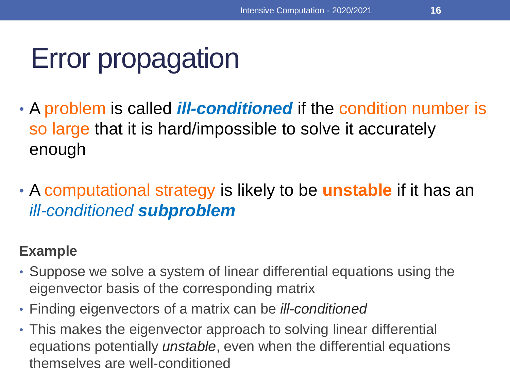## Error propagation

- A problem is called *ill-conditioned* if the condition number is so large that it is hard/impossible to solve it accurately enough
- A computational strategy is likely to be **unstable** if it has an *ill-conditioned subproblem*

#### **Example**

- Suppose we solve a system of linear differential equations using the eigenvector basis of the corresponding matrix
- Finding eigenvectors of a matrix can be *ill-conditioned*
- This makes the eigenvector approach to solving linear differential equations potentially *unstable*, even when the differential equations themselves are well-conditioned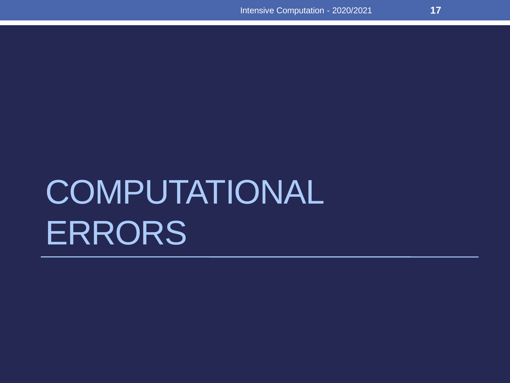# **COMPUTATIONAL** ERRORS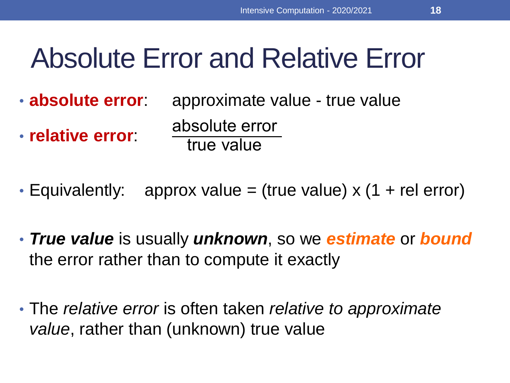## Absolute Error and Relative Error

- **absolute error**: approximate value true value • **relative error**: absolute error true value
- Equivalently: approx value = (true value)  $\times$  (1 + rel error)
- *True value* is usually *unknown*, so we *estimate* or *bound* the error rather than to compute it exactly
- The *relative error* is often taken *relative to approximate value*, rather than (unknown) true value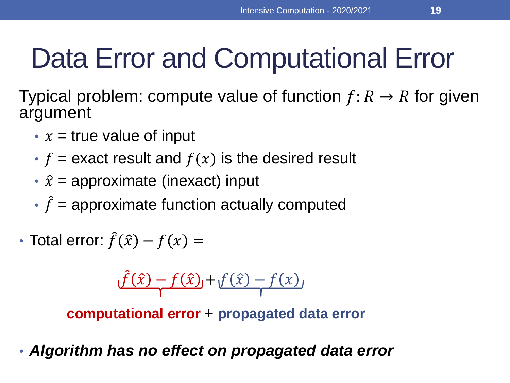## Data Error and Computational Error

Typical problem: compute value of function  $f: R \to R$  for given argument

- $x =$  true value of input
- $f =$  exact result and  $f(x)$  is the desired result
- $\hat{x}$  = approximate (inexact) input
- $\cdot \hat{f}$  = approximate function actually computed
- Total error:  $\hat{f}(\hat{x}) f(x) =$

$$
\hat{f}(\hat{x}) - f(\hat{x}) + f(\hat{x}) - f(x)
$$

**computational error** + **propagated data error**

• *Algorithm has no effect on propagated data error*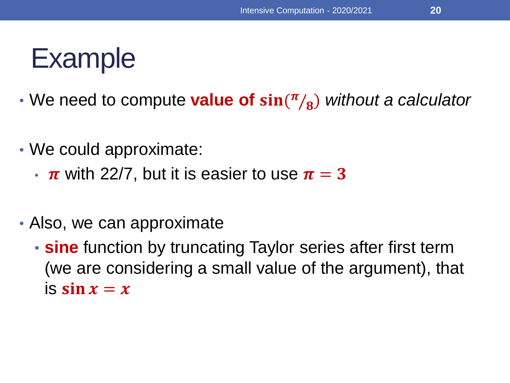### Example

- We need to compute **value of**  $sin(π/β)$ ) *without a calculator*
- We could approximate:
	- $\cdot \pi$  with 22/7, but it is easier to use  $\pi = 3$
- Also, we can approximate
	- **sine** function by truncating Taylor series after first term (we are considering a small value of the argument), that is  $\sin x = x$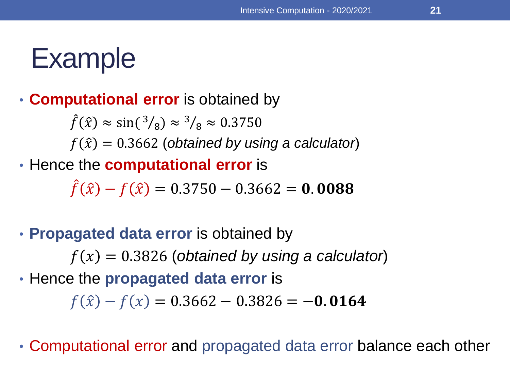### Example

#### • **Computational error** is obtained by

 $\hat{f}(\hat{x}) \approx \sin({}^3/\!_8) \approx {}^3/\!_8 \approx 0.3750$  $f(\hat{x}) = 0.3662$  (*obtained by using a calculator*) • Hence the **computational error** is

 $\hat{f}(\hat{x}) - f(\hat{x}) = 0.3750 - 0.3662 = 0.0088$ 

• **Propagated data error** is obtained by

 $f(x) = 0.3826$  (*obtained by using a calculator*)

• Hence the **propagated data error** is

 $f(\hat{x}) - f(x) = 0.3662 - 0.3826 = -0.0164$ 

• Computational error and propagated data error balance each other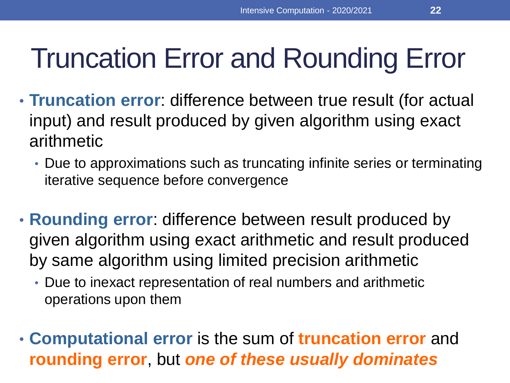## Truncation Error and Rounding Error

- **Truncation error**: difference between true result (for actual input) and result produced by given algorithm using exact arithmetic
	- Due to approximations such as truncating infinite series or terminating iterative sequence before convergence
- **Rounding error**: difference between result produced by given algorithm using exact arithmetic and result produced by same algorithm using limited precision arithmetic
	- Due to inexact representation of real numbers and arithmetic operations upon them
- **Computational error** is the sum of **truncation error** and **rounding error**, but *one of these usually dominates*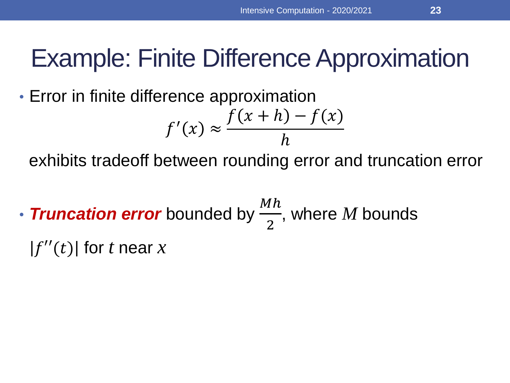• Error in finite difference approximation

$$
f'(x) \approx \frac{f(x+h) - f(x)}{h}
$$

exhibits tradeoff between rounding error and truncation error

• **Truncation error** bounded by  $\frac{Mh}{2}$ 2 , where *M* bounds  $|f''(t)|$  for *t* near *x*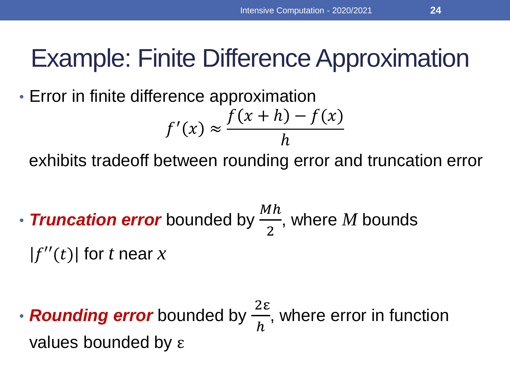• Error in finite difference approximation

$$
f'(x) \approx \frac{f(x+h) - f(x)}{h}
$$

exhibits tradeoff between rounding error and truncation error

- **Truncation error** bounded by  $\frac{Mh}{2}$ 2 , where *M* bounds  $|f''(t)|$  for t near x
- *Rounding error* bounded by  $\frac{2ε}{k}$  $\boldsymbol{h}$ , where error in function values bounded by ε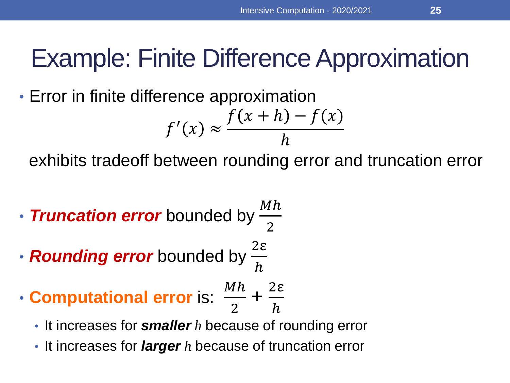• Error in finite difference approximation

$$
f'(x) \approx \frac{f(x+h) - f(x)}{h}
$$

exhibits tradeoff between rounding error and truncation error

- *Truncation error* bounded by  $\frac{Mh}{2}$ 2
- *Rounding error* bounded by  $\frac{2ε}{\hbar}$  $\boldsymbol{h}$
- **Computational error** is:  $M<sub>h</sub>$ 2 + 2ε  $\boldsymbol{h}$ 
	- It increases for *smaller h* because of rounding error
	- It increases for *larger h* because of truncation error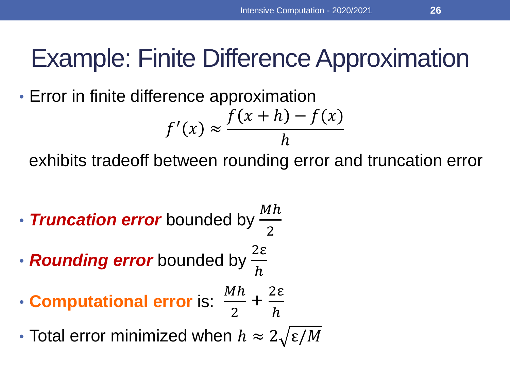• Error in finite difference approximation

$$
f'(x) \approx \frac{f(x+h) - f(x)}{h}
$$

exhibits tradeoff between rounding error and truncation error

- **Truncation error** bounded by  $\frac{Mh}{2}$ 2
- *Rounding error* bounded by  $\frac{2ε}{l}$  $\boldsymbol{h}$
- **Computational error** is:  $M<sub>h</sub>$ 2 + 2ε  $\boldsymbol{h}$

• Total error minimized when  $h \approx 2\sqrt{\epsilon/M}$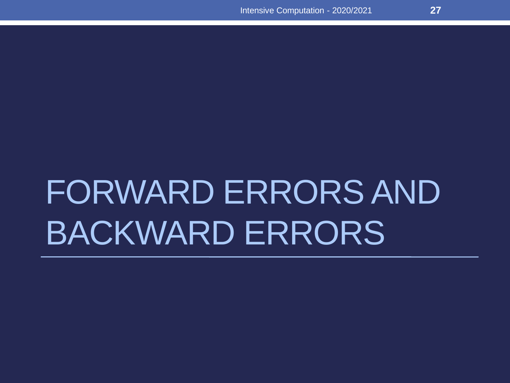# FORWARD ERRORS AND BACKWARD ERRORS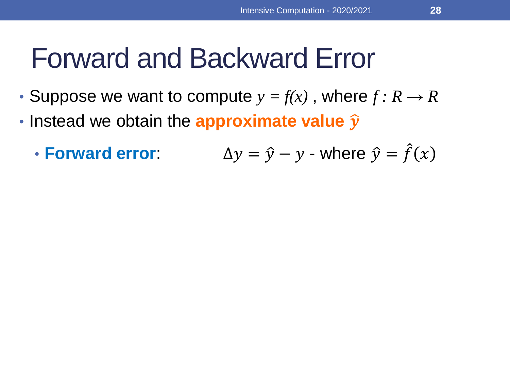### Forward and Backward Error

- Suppose we want to compute  $y = f(x)$ , where  $f: R \to R$
- **· Instead we obtain the approximate value**  $\widehat{y}$ 
	- **Forward error:**  $\hat{y} - y$  - where  $\hat{y} = \hat{f}(x)$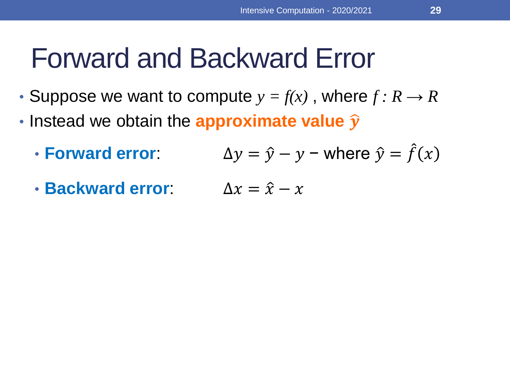#### Forward and Backward Error

- Suppose we want to compute  $y = f(x)$ , where  $f: R \to R$
- **· Instead we obtain the approximate value**  $\widehat{y}$ 
	- **Forward error:**  $\hat{y} - y$  – where  $\hat{y} = \hat{f}(x)$
	- **Backward error**:  $\Delta x = \hat{x} x$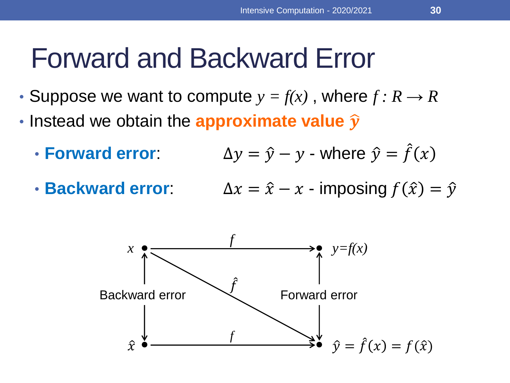#### Forward and Backward Error

- Suppose we want to compute  $y = f(x)$ , where  $f: R \to R$
- **· Instead we obtain the approximate value**  $\widehat{y}$ 
	- **Forward error:**  $\hat{y} - y$  - where  $\hat{y} = \hat{f}(x)$
	- **Backward error:**

$$
\Delta y = y - y - \text{where } y = f(x)
$$

$$
\Delta x = \hat{x} - x - \text{imposing } f(\hat{x}) = \hat{y}
$$

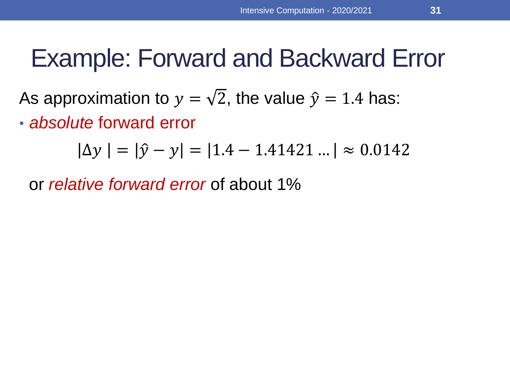#### Example: Forward and Backward Error

As approximation to  $y=\sqrt{2}$ , the value  $\widehat{y}=1.4$  has:

• *absolute* forward error

$$
|\Delta y| = |\hat{y} - y| = |1.4 - 1.41421 \dots| \approx 0.0142
$$

or *relative forward error* of about 1%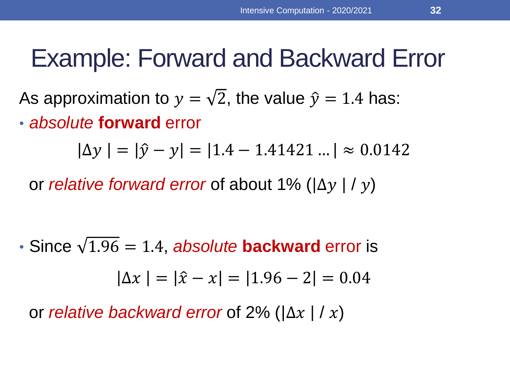#### Example: Forward and Backward Error

As approximation to  $y=\sqrt{2}$ , the value  $\widehat{y}=1.4$  has:

• *absolute* **forward** error

 $\Delta y \mid = |\hat{y} - y| = |1.4 - 1.41421 \ldots| \approx 0.0142$ 

or *relative forward error* of about 1% ( $|\Delta y| / y$ )

• Since  $\sqrt{1.96} = 1.4$ , *absolute* **backward** error is  $\Delta x \mid = |\hat{x} - x| = |1.96 - 2| = 0.04$ 

or *relative backward error* of 2% ( $|\Delta x| / x$ )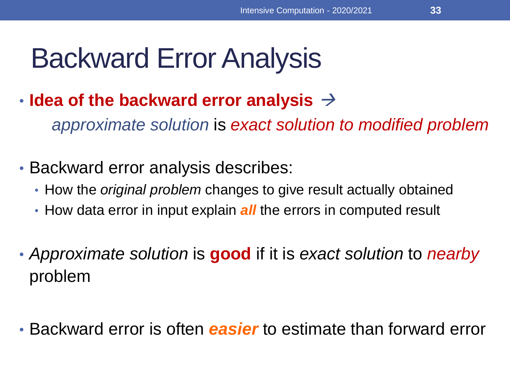## Backward Error Analysis

• **Idea of the backward error analysis** →

*approximate solution* is *exact solution to modified problem*

- Backward error analysis describes:
	- How the *original problem* changes to give result actually obtained
	- How data error in input explain *all* the errors in computed result
- *Approximate solution* is **good** if it is *exact solution* to *nearby* problem
- Backward error is often *easier* to estimate than forward error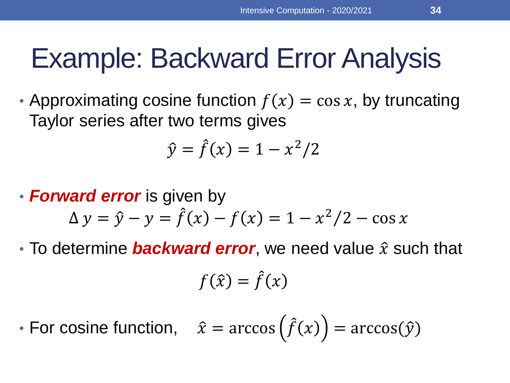## Example: Backward Error Analysis

• Approximating cosine function  $f(x) = \cos x$ , by truncating Taylor series after two terms gives

$$
\hat{y} = \hat{f}(x) = 1 - x^2/2
$$

• *Forward error* is given by

$$
\Delta y = \hat{y} - y = \hat{f}(x) - f(x) = 1 - x^2/2 - \cos x
$$

• To determine **backward error**, we need value  $\hat{x}$  such that

$$
f(\hat{x}) = \hat{f}(x)
$$

• For cosine function,  $\hat{x} = \arccos(\hat{f}(x)) = \arccos(\hat{y})$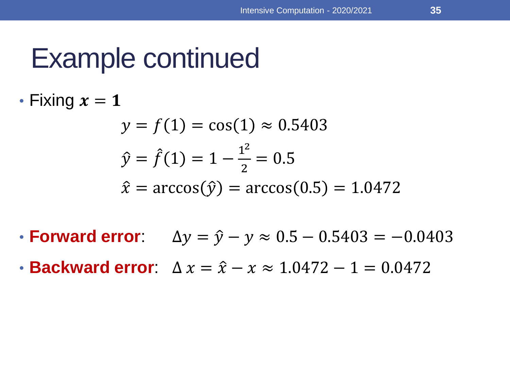### Example continued

• Fixing  $x = 1$ 

$$
y = f(1) = \cos(1) \approx 0.5403
$$
  

$$
\hat{y} = \hat{f}(1) = 1 - \frac{1^2}{2} = 0.5
$$
  

$$
\hat{x} = \arccos(\hat{y}) = \arccos(0.5) = 1.0472
$$

- **Forward error**:  $\Delta y = \hat{y} y \approx 0.5 0.5403 = -0.0403$
- **Backward error**:  $\Delta x = \hat{x} x \approx 1.0472 1 = 0.0472$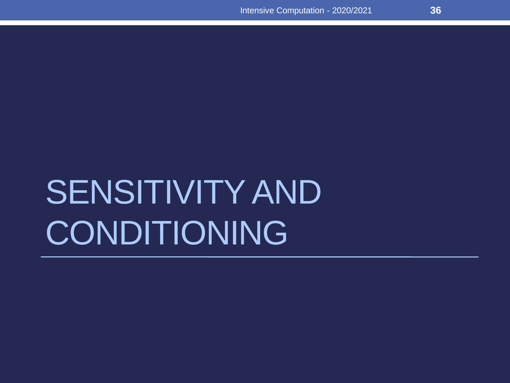# SENSITIVITY AND CONDITIONING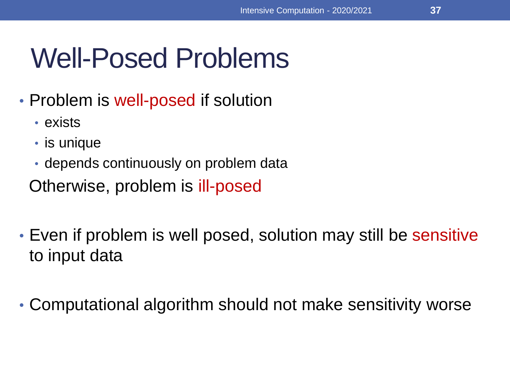#### Well-Posed Problems

- Problem is well-posed if solution
	- exists
	- is unique
	- depends continuously on problem data

Otherwise, problem is ill-posed

- Even if problem is well posed, solution may still be sensitive to input data
- Computational algorithm should not make sensitivity worse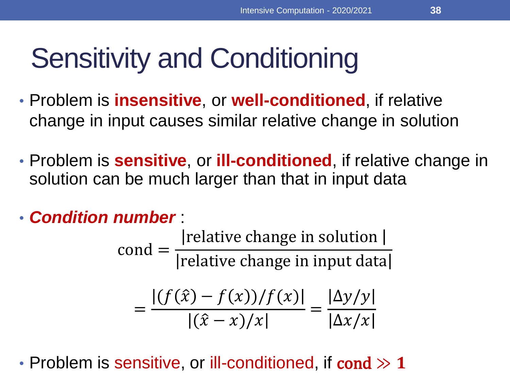### Sensitivity and Conditioning

- Problem is **insensitive**, or **well-conditioned**, if relative change in input causes similar relative change in solution
- Problem is **sensitive**, or **ill-conditioned**, if relative change in solution can be much larger than that in input data
- *Condition number* :

 $\text{cond} =$ relative change in solution relative change in input data

$$
= \frac{|(f(\hat{x}) - f(x))/f(x)|}{|(\hat{x} - x)/x|} = \frac{|\Delta y/y|}{|\Delta x/x|}
$$

• Problem is sensitive, or ill-conditioned, if cond  $\gg 1$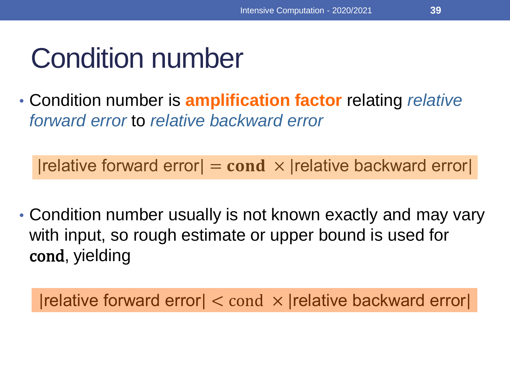### Condition number

• Condition number is **amplification factor** relating *relative forward error* to *relative backward error*

 $|$ relative forward error $| = \text{cond} \times |$ relative backward error

• Condition number usually is not known exactly and may vary with input, so rough estimate or upper bound is used for cond, yielding

 $|$ relative forward error $|<$  cond  $\times$   $|$ relative backward error $|$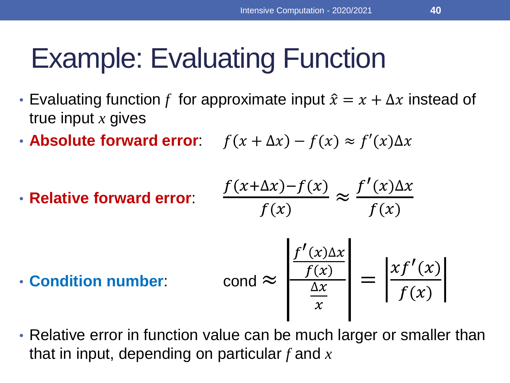### Example: Evaluating Function

- Evaluating function f for approximate input  $\hat{x} = x + \Delta x$  instead of true input *x* gives
- **Absolute forward error**:  $f(x + \Delta x) f(x) \approx f'(x) \Delta x$
- **Relative forward error**:  $\int$  $f(x)$

$$
\frac{(x+\Delta x)-f(x)}{f(x)} \approx \frac{f'(x)\Delta x}{f(x)}
$$

• **Condition number:** condition

$$
\text{cond} \approx \left| \frac{f'(x)\Delta x}{\frac{f(x)}{x}} \right| = \left| \frac{x f'(x)}{f(x)} \right|
$$

• Relative error in function value can be much larger or smaller than that in input, depending on particular *f* and *x*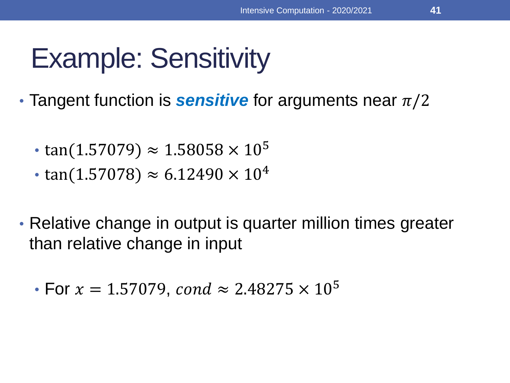# Example: Sensitivity

- Tangent function is **sensitive** for arguments near  $\pi/2$ 
	- tan(1.57079)  $\approx 1.58058 \times 10^5$
	- tan(1.57078)  $\approx 6.12490 \times 10^4$
- Relative change in output is quarter million times greater than relative change in input
	- For  $x = 1.57079$ , cond  $\approx 2.48275 \times 10^5$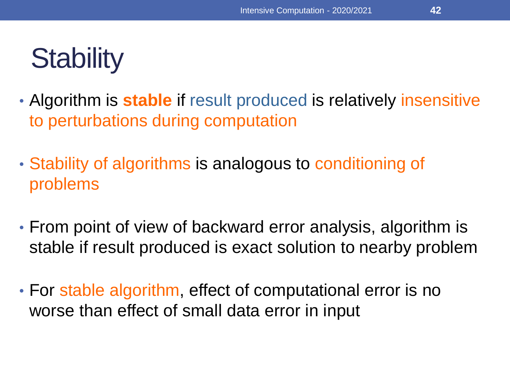### **Stability**

- Algorithm is **stable** if result produced is relatively insensitive to perturbations during computation
- Stability of algorithms is analogous to conditioning of problems
- From point of view of backward error analysis, algorithm is stable if result produced is exact solution to nearby problem
- For stable algorithm, effect of computational error is no worse than effect of small data error in input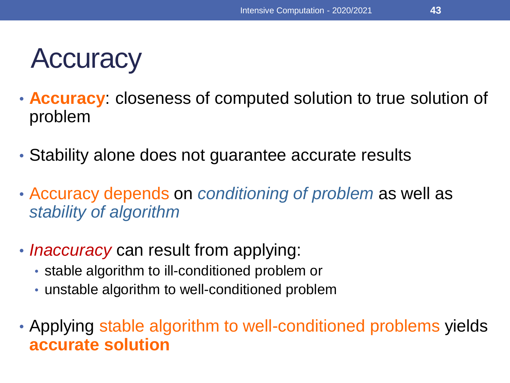#### **Accuracy**

- **Accuracy**: closeness of computed solution to true solution of problem
- Stability alone does not guarantee accurate results
- Accuracy depends on *conditioning of problem* as well as *stability of algorithm*
- *Inaccuracy* can result from applying:
	- stable algorithm to ill-conditioned problem or
	- unstable algorithm to well-conditioned problem
- Applying stable algorithm to well-conditioned problems yields **accurate solution**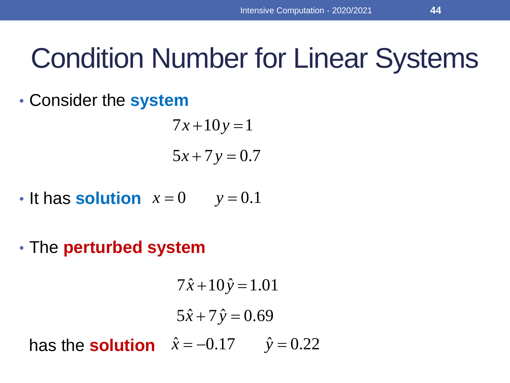• Consider the **system**

 $5x + 7y = 0.7$  $7x + 10y = 1$ 

- It has **solution**  $x=0$   $y=0.1$
- The **perturbed system**

$$
7\hat{x}+10\hat{y}=1.01
$$
  
 $5\hat{x}+7\hat{y}=0.69$   
has the **solution**  $\hat{x} = -0.17$   $\hat{y} = 0.22$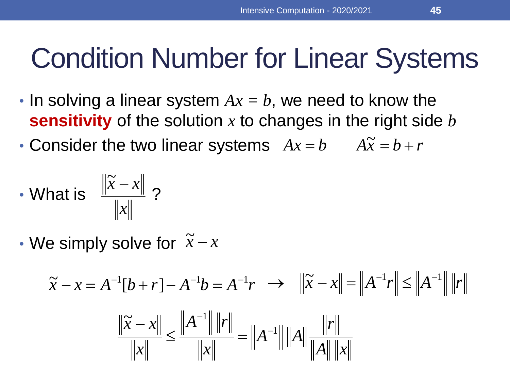- In solving a linear system *Ax = b*, we need to know the **sensitivity** of the solution *x* to changes in the right side *b*
- Consider the two linear systems  $Ax = b$   $A\tilde{x} = b + r$

• What is 
$$
\frac{\|\widetilde{x} - x\|}{\|x\|}
$$
?

• We simply solve for *x* − *x*  $\widetilde{r} = r$ 

$$
\tilde{x} - x = A^{-1}[b + r] - A^{-1}b = A^{-1}r \implies \|\tilde{x} - x\| = \|A^{-1}r\| \le \|A^{-1}\| \|r\|
$$
  

$$
\frac{\|\tilde{x} - x\|}{\|x\|} \le \frac{\|A^{-1}\| \|r\|}{\|x\|} = \|A^{-1}\| \|A\| \frac{\|r\|}{\|A\| \|x\|}
$$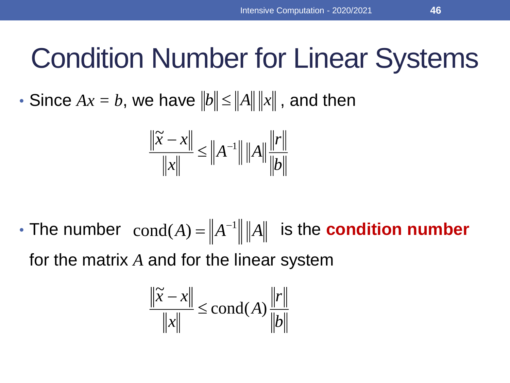• Since  $Ax = b$ , we have  $||b|| \le ||A|| ||x||$  , and then

$$
\frac{\|\widetilde{x} - x\|}{\|x\|} \le \|A^{-1}\| \|A\| \frac{\|r\|}{\|b\|}
$$

• The number  $\text{cond}(A) = \|A^{-1}\| \|A\|$  is the **condition number** for the matrix *A* and for the linear system

$$
\frac{\|\widetilde{x} - x\|}{\|x\|} \le \text{cond}(A) \frac{\|r\|}{\|b\|}
$$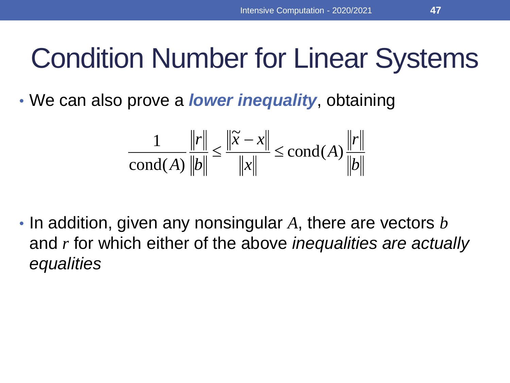• We can also prove a *lower inequality*, obtaining

$$
\frac{1}{\text{cond}(A)} \frac{\|r\|}{\|b\|} \le \frac{\|\tilde{x} - x\|}{\|x\|} \le \text{cond}(A) \frac{\|r\|}{\|b\|}
$$

• In addition, given any nonsingular *A*, there are vectors *b* and *r* for which either of the above *inequalities are actually equalities*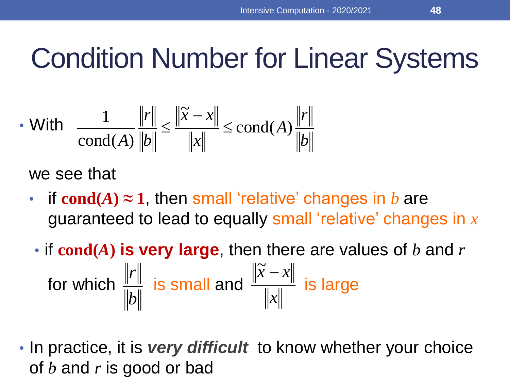$$
\text{• With } \frac{1}{\text{cond}(A)} \frac{\|r\|}{\|b\|} \le \frac{\|\widetilde{x} - x\|}{\|x\|} \le \text{cond}(A) \frac{\|r\|}{\|b\|}
$$

we see that

- if  $cond(A) \approx 1$ , then small 'relative' changes in *b* are guaranteed to lead to equally small 'relative' changes in *x*
- if **cond(***A***) is very large**, then there are values of *b* and *r* for which  $\frac{||f||}{||f||}$  is small and  $\frac{||f(f)||}{||f||}$  is large  $\widetilde{x} - x$ *b*<sup> $\parallel$ </sup> *r*<sup>ll</sup>
- In practice, it is *very difficult* to know whether your choice  $\|\rho\|$ <br>In practice, it is *very difficult* to know<br>of *b* and *r* is good or bad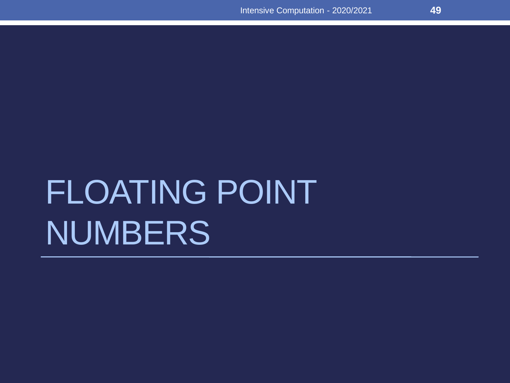# FLOATING POINT NUMBERS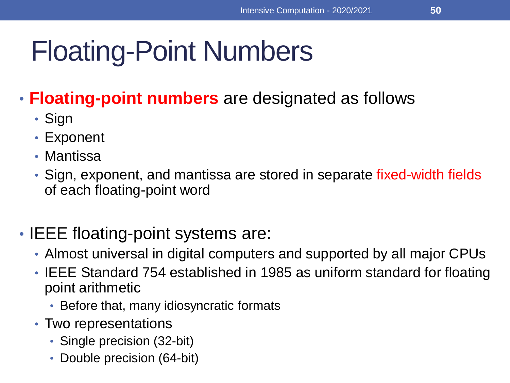• **Floating-point numbers** are designated as follows

- Sign
- Exponent
- Mantissa
- Sign, exponent, and mantissa are stored in separate fixed-width fields of each floating-point word

#### • IEEE floating-point systems are:

- Almost universal in digital computers and supported by all major CPUs
- IEEE Standard 754 established in 1985 as uniform standard for floating point arithmetic
	- Before that, many idiosyncratic formats
- Two representations
	- Single precision (32-bit)
	- Double precision (64-bit)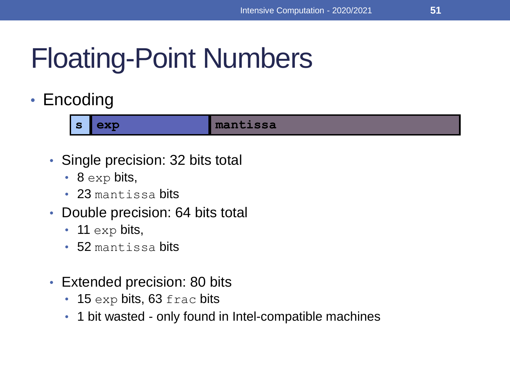• Encoding

**s exp mantissa**

- Single precision: 32 bits total
	- $\cdot$  8 exp bits,
	- 23 mantissa bits
- Double precision: 64 bits total
	- 11 exp bits,
	- 52 mantissa bits
- Extended precision: 80 bits
	- 15 exp bits, 63 frac bits
	- 1 bit wasted only found in Intel-compatible machines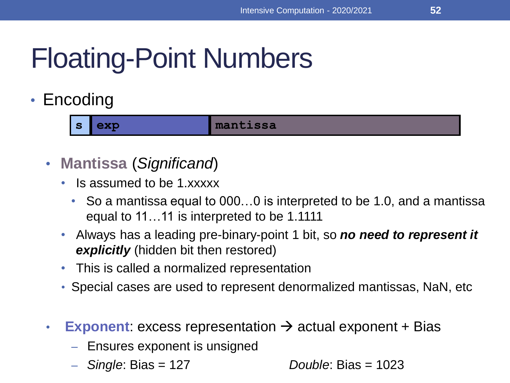#### • Encoding

**s exp mantissa**

- **Mantissa** (*Significand*)
	- Is assumed to be 1.xxxxx
		- So a mantissa equal to 000...0 is interpreted to be 1.0, and a mantissa equal to 11…11 is interpreted to be 1.1111
	- Always has a leading pre-binary-point 1 bit, so *no need to represent it explicitly* (hidden bit then restored)
	- This is called a normalized representation
	- Special cases are used to represent denormalized mantissas, NaN, etc
- **Exponent**: excess representation  $\rightarrow$  actual exponent + Bias
	- Ensures exponent is unsigned
	- *Single*: Bias = 127 *Double*: Bias = 1023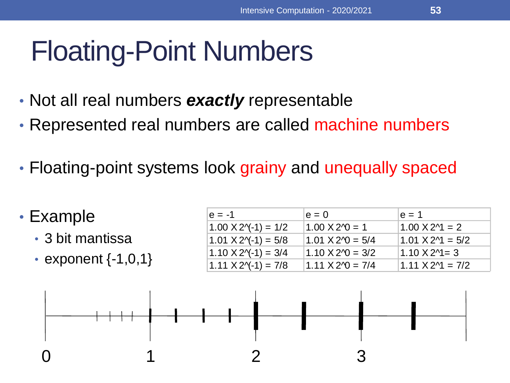- Not all real numbers *exactly* representable
- Represented real numbers are called machine numbers
- Floating-point systems look grainy and unequally spaced

| $\cdot$ Example         | $e = -1$                            | $e = 0$                           | $e = 1$                   |
|-------------------------|-------------------------------------|-----------------------------------|---------------------------|
|                         | $1.00 \text{ X } 2\gamma - 1 = 1/2$ | $1.00 \text{ X } 2\gamma = 1$     | $1.00 \times 2$ = 2       |
| • 3 bit mantissa        | $1.01$ X 2 $($ -1 $)$ = 5/8         | $1.01 \text{ X } 2 \cdot 0 = 5/4$ | $1.01 \text{ X } 2$ = 5/2 |
| • exponent $\{-1,0,1\}$ | $1.10 \text{ X } 2\gamma - 1 = 3/4$ | $1.10 \text{ X } 2 \cdot 0 = 3/2$ | $1.10 \text{ X } 24 = 3$  |
|                         | $1.11 X 2(-1) = 7/8$                | $1.11 \times 20 = 7/4$            | $1.11 \times 2$ = 7/2     |

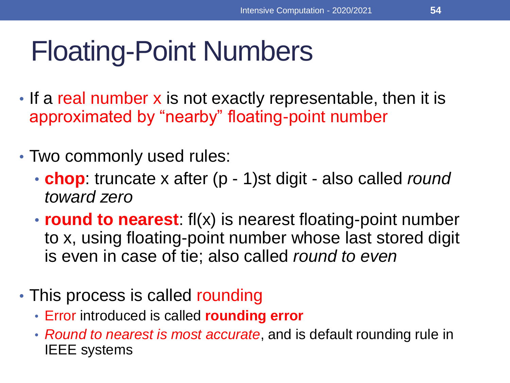- If a real number x is not exactly representable, then it is approximated by "nearby" floating-point number
- Two commonly used rules:
	- **chop**: truncate x after (p 1)st digit also called *round toward zero*
	- **round to nearest**: fl(x) is nearest floating-point number to x, using floating-point number whose last stored digit is even in case of tie; also called *round to even*
- This process is called rounding
	- Error introduced is called **rounding error**
	- *Round to nearest is most accurate*, and is default rounding rule in IEEE systems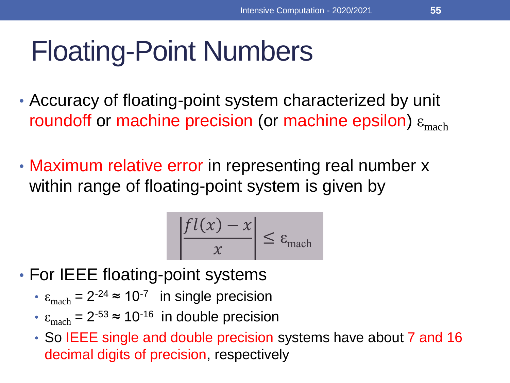- Accuracy of floating-point system characterized by unit roundoff or machine precision (or machine epsilon)  $\varepsilon_{\text{mach}}$
- Maximum relative error in representing real number x within range of floating-point system is given by

$$
\left|\frac{fl(x)-x}{x}\right| \leq \varepsilon_{\text{mach}}
$$

- For IEEE floating-point systems
	- $\epsilon_{\text{mach}} = 2^{-24} \approx 10^{-7}$  in single precision
	- $\cdot$   $\varepsilon$ <sub>mach</sub> = 2<sup>-53</sup>  $\approx$  10<sup>-16</sup> in double precision
	- So IEEE single and double precision systems have about 7 and 16 decimal digits of precision, respectively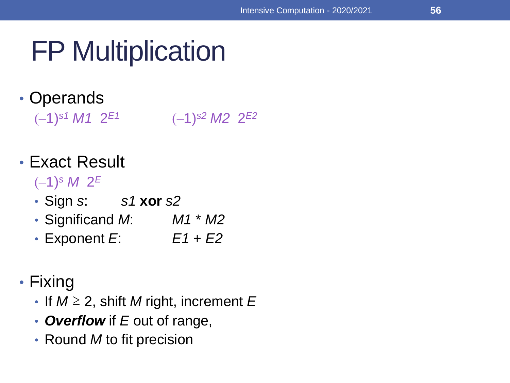### FP Multiplication

#### • Operands

(–1)*s1 M1* 2 *E1* (–1)*s2 M2* 2 *E2*

#### • Exact Result

(–1)*<sup>s</sup> M* 2 *E*

- Sign *s*: *s1* **xor** *s2*
- Significand *M*: *M1* \* *M2*
- Exponent *E*: *E1* + *E2*

#### • Fixing

- If *M* ≥ 2, shift *M* right, increment *E*
- *Overflow* if *E* out of range,
- Round *M* to fit precision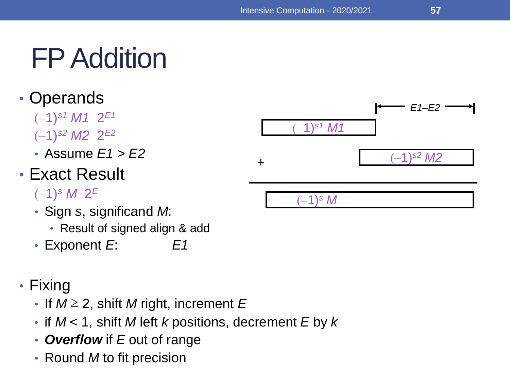### FP Addition

- Operands
	- (–1)*s1 M1* 2 *E1* (–1)*s2 M2* 2 *E2*
	- Assume *E1* > *E2*

#### • Exact Result

#### (–1)*<sup>s</sup> M* 2 *E*

- Sign *s*, significand *M*:
	- Result of signed align & add
- Exponent *E*: *E1*
- Fixing
	- If *M* ≥ 2, shift *M* right, increment *E*
	- if *M* < 1, shift *M* left *k* positions, decrement *E* by *k*
	- *Overflow* if *E* out of range
	- Round *M* to fit precision

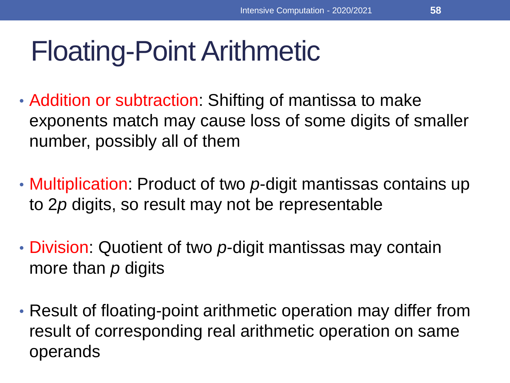- Addition or subtraction: Shifting of mantissa to make exponents match may cause loss of some digits of smaller number, possibly all of them
- Multiplication: Product of two *p*-digit mantissas contains up to 2*p* digits, so result may not be representable
- Division: Quotient of two *p*-digit mantissas may contain more than *p* digits
- Result of floating-point arithmetic operation may differ from result of corresponding real arithmetic operation on same operands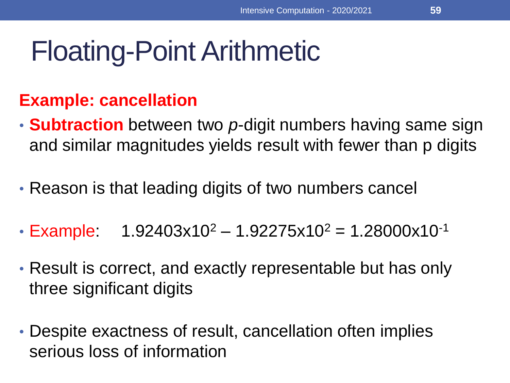#### **Example: cancellation**

- **Subtraction** between two *p*-digit numbers having same sign and similar magnitudes yields result with fewer than p digits
- Reason is that leading digits of two numbers cancel
- Example:  $1.92403x10^2 1.92275x10^2 = 1.28000x10^{-1}$
- Result is correct, and exactly representable but has only three significant digits
- Despite exactness of result, cancellation often implies serious loss of information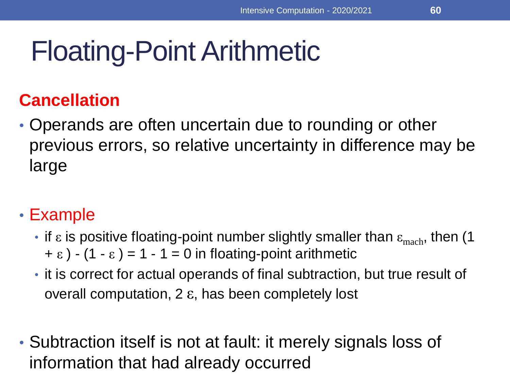#### **Cancellation**

• Operands are often uncertain due to rounding or other previous errors, so relative uncertainty in difference may be large

#### • Example

- if  $\varepsilon$  is positive floating-point number slightly smaller than  $\varepsilon_{\text{mach}}$ , then (1  $+ \varepsilon$ ) - (1 -  $\varepsilon$ ) = 1 - 1 = 0 in floating-point arithmetic
- it is correct for actual operands of final subtraction, but true result of overall computation, 2 ε, has been completely lost
- Subtraction itself is not at fault: it merely signals loss of information that had already occurred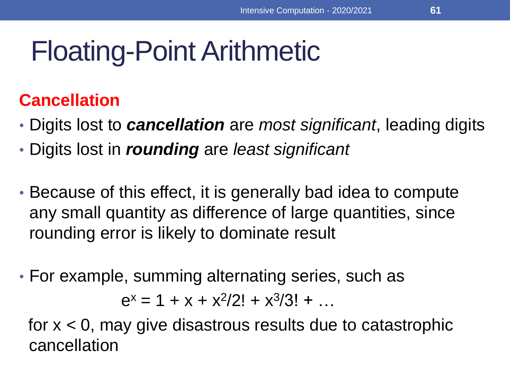#### **Cancellation**

- Digits lost to *cancellation* are *most significant*, leading digits
- Digits lost in *rounding* are *least significant*
- Because of this effect, it is generally bad idea to compute any small quantity as difference of large quantities, since rounding error is likely to dominate result
- For example, summing alternating series, such as

 $e^x = 1 + x + x^2/2! + x^3/3! + ...$ 

for  $x < 0$ , may give disastrous results due to catastrophic cancellation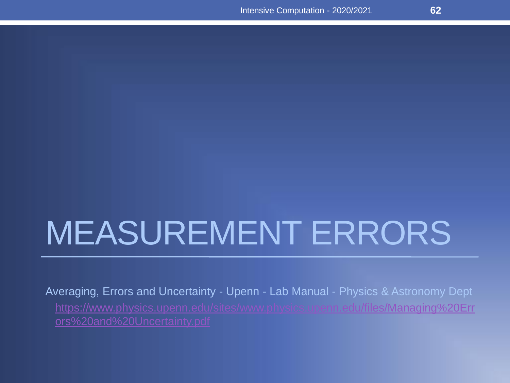# MEASUREMENT ERRORS

Averaging, Errors and Uncertainty - Upenn - Lab Manual - Physics & Astronomy Dept [https://www.physics.upenn.edu/sites/www.physics.upenn.edu/files/Managing%20Err](https://www.physics.upenn.edu/sites/www.physics.upenn.edu/files/Managing%20Errors%20and%20Uncertainty.pdf)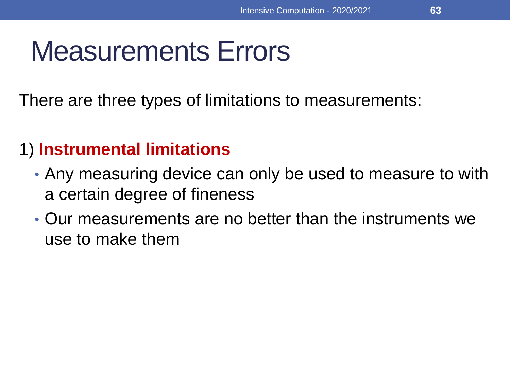### Measurements Errors

There are three types of limitations to measurements:

#### 1) **Instrumental limitations**

- Any measuring device can only be used to measure to with a certain degree of fineness
- Our measurements are no better than the instruments we use to make them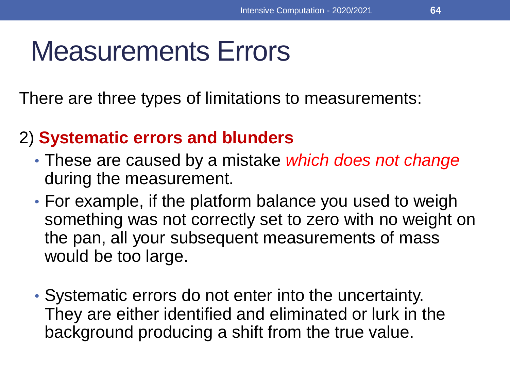### Measurements Errors

There are three types of limitations to measurements:

#### 2) **Systematic errors and blunders**

- These are caused by a mistake *which does not change*  during the measurement.
- For example, if the platform balance you used to weigh something was not correctly set to zero with no weight on the pan, all your subsequent measurements of mass would be too large.
- Systematic errors do not enter into the uncertainty. They are either identified and eliminated or lurk in the background producing a shift from the true value.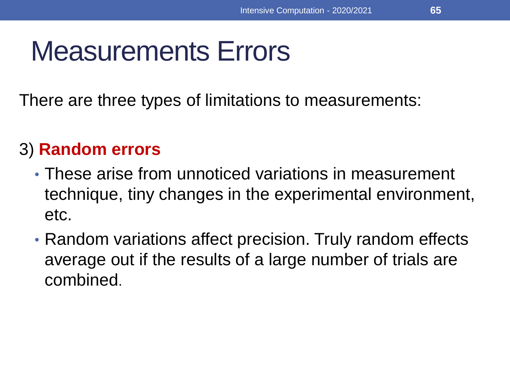### Measurements Errors

There are three types of limitations to measurements:

#### 3) **Random errors**

- These arise from unnoticed variations in measurement technique, tiny changes in the experimental environment, etc.
- Random variations affect precision. Truly random effects average out if the results of a large number of trials are combined.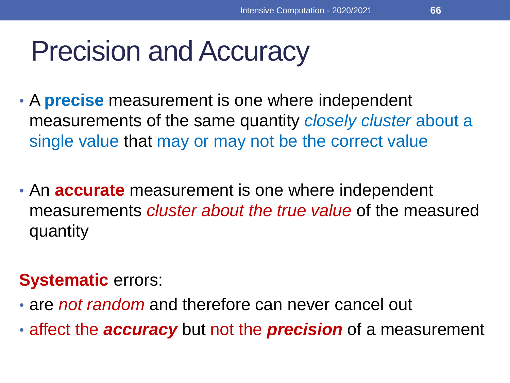#### Precision and Accuracy

- A **precise** measurement is one where independent measurements of the same quantity *closely cluster* about a single value that may or may not be the correct value
- An **accurate** measurement is one where independent measurements *cluster about the true value* of the measured quantity

#### **Systematic** errors:

- are *not random* and therefore can never cancel out
- affect the *accuracy* but not the *precision* of a measurement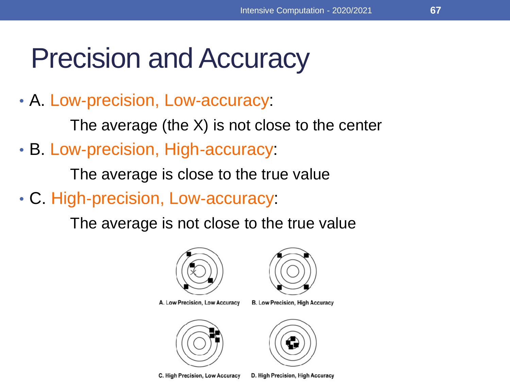#### Precision and Accuracy

• A. Low‐precision, Low‐accuracy:

The average (the X) is not close to the center

• B. Low-precision, High-accuracy:

The average is close to the true value

• C. High‐precision, Low‐accuracy:

The average is not close to the true value



A. Low Precision, Low Accuracy



C. High Precision, Low Accuracy



**B. Low Precision, High Accuracy** 



D. High Precision, High Accuracy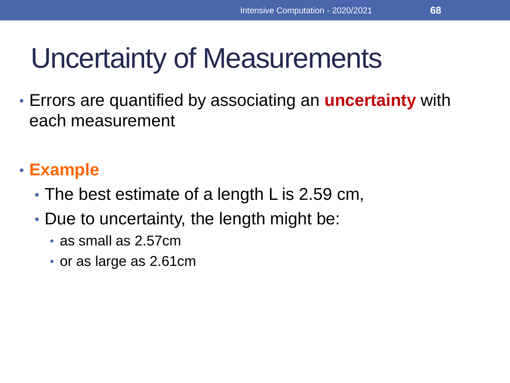### Uncertainty of Measurements

• Errors are quantified by associating an **uncertainty** with each measurement

#### • **Example**

- The best estimate of a length L is 2.59 cm,
- Due to uncertainty, the length might be:
	- as small as 2.57cm
	- or as large as 2.61cm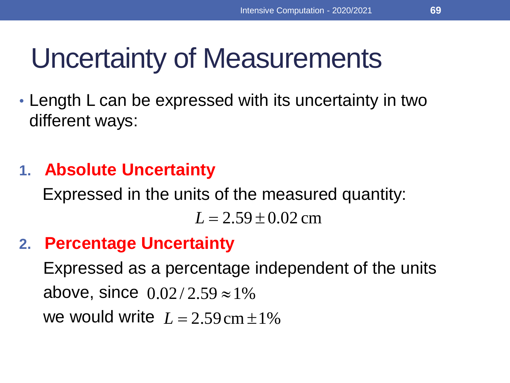### Uncertainty of Measurements

• Length L can be expressed with its uncertainty in two different ways:

#### **1. Absolute Uncertainty**

Expressed in the units of the measured quantity:

 $L = 2.59 \pm 0.02$  cm

#### **2. Percentage Uncertainty**

Expressed as a percentage independent of the units above, since  $0.02/2.59 \approx 1\%$ we would write  $L = 2.59$  cm  $\pm 1\%$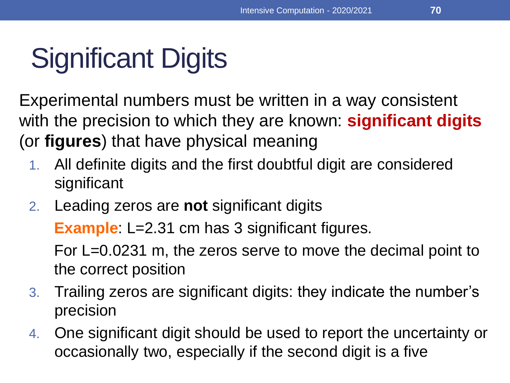# Significant Digits

Experimental numbers must be written in a way consistent with the precision to which they are known: **significant digits**  (or **figures**) that have physical meaning

- 1. All definite digits and the first doubtful digit are considered significant
- 2. Leading zeros are **not** significant digits

**Example**: L=2.31 cm has 3 significant figures.

For L=0.0231 m, the zeros serve to move the decimal point to the correct position

- 3. Trailing zeros are significant digits: they indicate the number's precision
- 4. One significant digit should be used to report the uncertainty or occasionally two, especially if the second digit is a five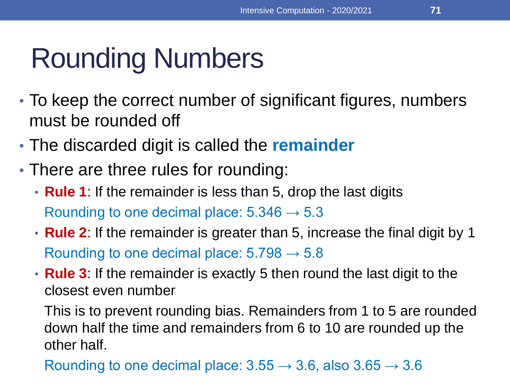### Rounding Numbers

- To keep the correct number of significant figures, numbers must be rounded off
- The discarded digit is called the **remainder**
- There are three rules for rounding:
	- **Rule 1**: If the remainder is less than 5, drop the last digits Rounding to one decimal place:  $5.346 \rightarrow 5.3$
	- **Rule 2**: If the remainder is greater than 5, increase the final digit by 1 Rounding to one decimal place:  $5.798 \rightarrow 5.8$
	- **Rule 3**: If the remainder is exactly 5 then round the last digit to the closest even number

This is to prevent rounding bias. Remainders from 1 to 5 are rounded down half the time and remainders from 6 to 10 are rounded up the other half.

Rounding to one decimal place:  $3.55 \rightarrow 3.6$ , also  $3.65 \rightarrow 3.6$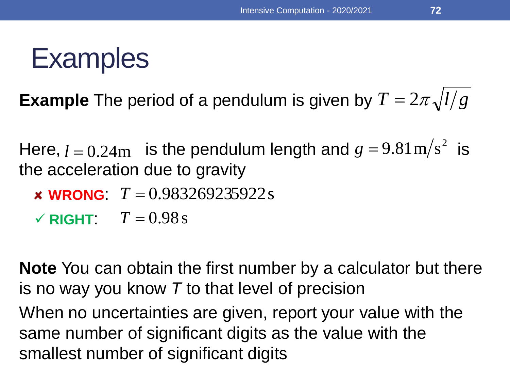**72**

#### **Examples**

**Example** The period of a pendulum is given by  $T = 2\pi \sqrt{l/g}$ 

Here,  $l = 0.24$ m is the pendulum length and  $g = 9.81$ m/s<sup>2</sup> is the acceleration due to gravity  $g = 9.81 \text{m/s}^2$  is

- **WRONG**:  $T = 0.983269235922$  s
- $\checkmark$  **RIGHT:**  $T = 0.98 \text{ s}$

**Note** You can obtain the first number by a calculator but there is no way you know *T* to that level of precision

When no uncertainties are given, report your value with the same number of significant digits as the value with the smallest number of significant digits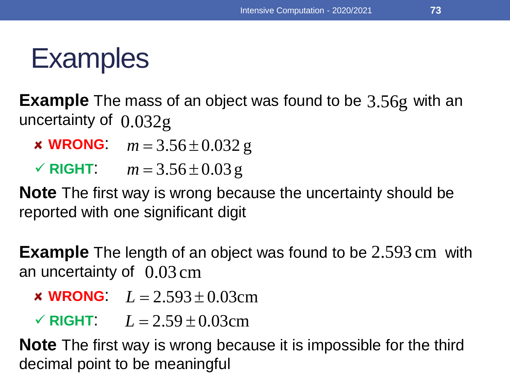**Example** The mass of an object was found to be 3.56g with an uncertainty of 0.032g

- **x WRONG**:  $m = 3.56 \pm 0.032$  g
- **× WRONG:**  $m = 3.56 \pm 0.032$  g<br> **/ RIGHT:**  $m = 3.56 \pm 0.03$  g

**Note** The first way is wrong because the uncertainty should be reported with one significant digit

**Example** The length of an object was found to be 2.593 cm with an uncertainty of 0.03 cm

- **× WRONG**:  $L = 2.593 \pm 0.03$ cm
- **× WRONG:**  $L = 2.593 \pm 0.03$ cm<br> **v** RIGHT:  $L = 2.59 \pm 0.03$ cm

**Note** The first way is wrong because it is impossible for the third decimal point to be meaningful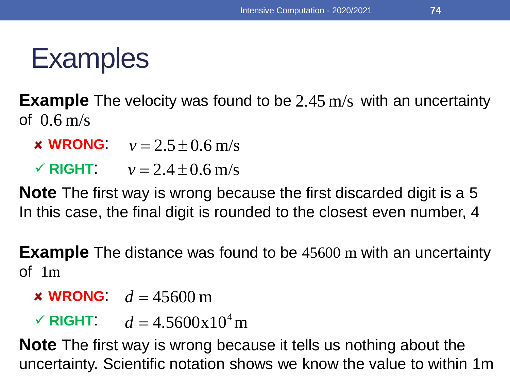**Example** The velocity was found to be 2.45 m/s with an uncertainty<br>of 0.6 m/s<br>*×* **WRONG:**  $v = 2.5 \pm 0.6$  m/s<br>*⁄* **RIGHT:**  $v = 2.4 \pm 0.6$  m/s of 0.6 m/s

- **x WRONG**:  $v = 2.5 \pm 0.6$  m/s
- **✓ RIGHT:**  $v = 2.4 \pm 0.6$  m/s

**Note** The first way is wrong because the first discarded digit is a 5 In this case, the final digit is rounded to the closest even number, 4

**Example** The distance was found to be 45600 m with an uncertainty of 1m

- **WRONG**:  $d = 45600 \text{ m}$
- $\sqrt{R}$ **IGHT**:  $d = 4.5600 \times 10^4$  m

**Note** The first way is wrong because it tells us nothing about the uncertainty. Scientific notation shows we know the value to within 1m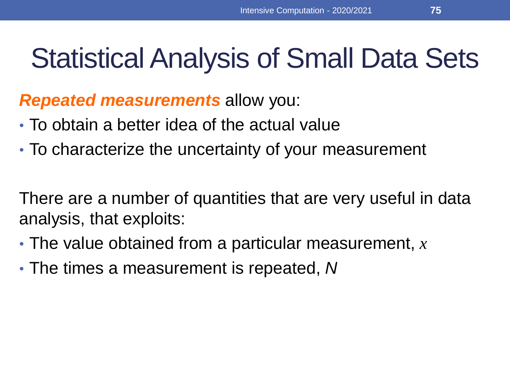#### Statistical Analysis of Small Data Sets

*Repeated measurements* allow you:

- To obtain a better idea of the actual value
- To characterize the uncertainty of your measurement

There are a number of quantities that are very useful in data analysis, that exploits:

- The value obtained from a particular measurement, *x*
- The times a measurement is repeated, *N*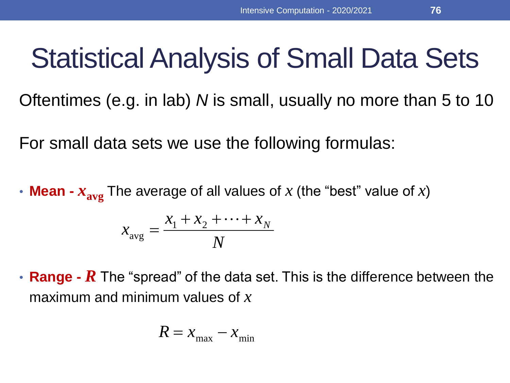## Statistical Analysis of Small Data Sets

Oftentimes (e.g. in lab) *N* is small, usually no more than 5 to 10

For small data sets we use the following formulas:

• **Mean -**  $x_{avg}$  The average of all values of  $x$  (the "best" value of  $x$ )

$$
x_{\text{avg}} = \frac{x_1 + x_2 + \dots + x_N}{N}
$$

• **Range -** *R* The "spread" of the data set. This is the difference between the maximum and minimum values of *x*

$$
R = x_{\text{max}} - x_{\text{min}}
$$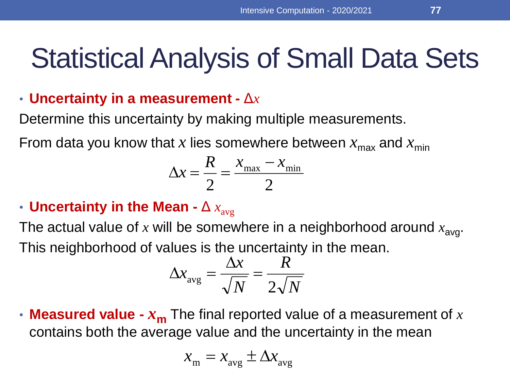#### Statistical Analysis of Small Data Sets

#### • **Uncertainty in a measurement -** Δ*x*

Determine this uncertainty by making multiple measurements.

From data you know that x lies somewhere between  $x_{\text{max}}$  and  $x_{\text{min}}$ 

$$
\Delta x = \frac{R}{2} = \frac{x_{\text{max}} - x_{\text{min}}}{2}
$$

#### • Uncertainty in the Mean -  $\Delta x_{\text{avg}}$

The actual value of  $x$  will be somewhere in a neighborhood around  $x_{\text{avg}}$ . This neighborhood of values is the uncertainty in the mean.

$$
\Delta x_{\text{avg}} = \frac{\Delta x}{\sqrt{N}} = \frac{R}{2\sqrt{N}}
$$

• **Measured value -** *x***<sup>m</sup>** The final reported value of a measurement of *x*  contains both the average value and the uncertainty in the mean

$$
x_{\rm m} = x_{\rm avg} \pm \Delta x_{\rm avg}
$$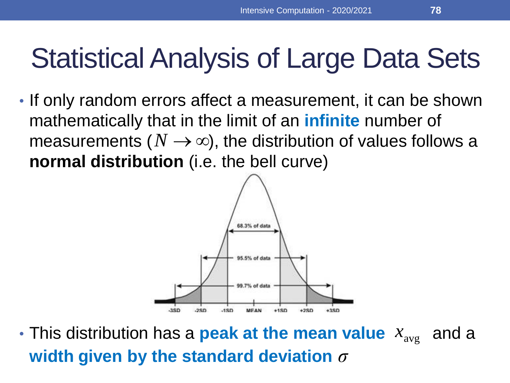• If only random errors affect a measurement, it can be shown mathematically that in the limit of an **infinite** number of measurements ( $N\to\infty$ ), the distribution of values follows a **normal distribution** (i.e. the bell curve)



• This distribution has a **peak at the mean value**  $x_{\text{avg}}$  and a **width given by the standard deviation** *σ*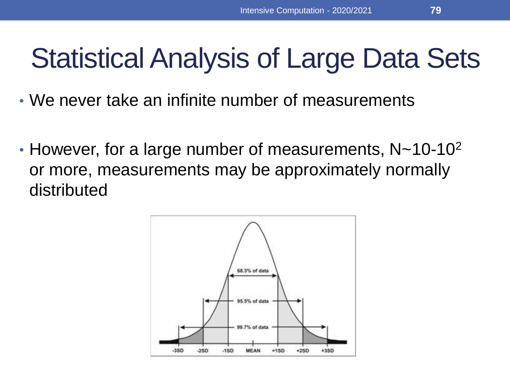- We never take an infinite number of measurements
- However, for a large number of measurements,  $N \sim 10-10^2$ or more, measurements may be approximately normally distributed

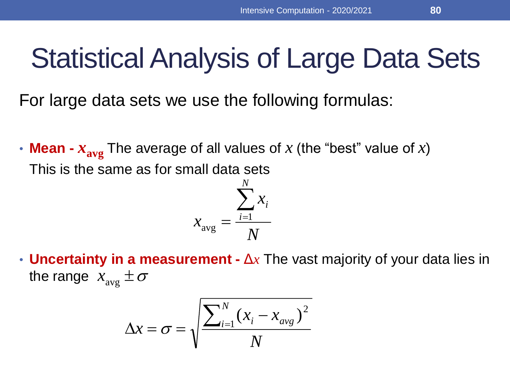For large data sets we use the following formulas:

• **Mean -**  $x_{avg}$  The average of all values of  $x$  (the "best" value of  $x$ ) This is the same as for small data sets

$$
x_{\text{avg}} = \frac{\sum_{i=1}^{N} x_i}{N}
$$

• **Uncertainty in a measurement -** Δ*x* The vast majority of your data lies in the range  $\; x_{\rm avg} \pm \sigma$ 

$$
\Delta x = \sigma = \sqrt{\frac{\sum_{i=1}^{N} (x_i - x_{avg})^2}{N}}
$$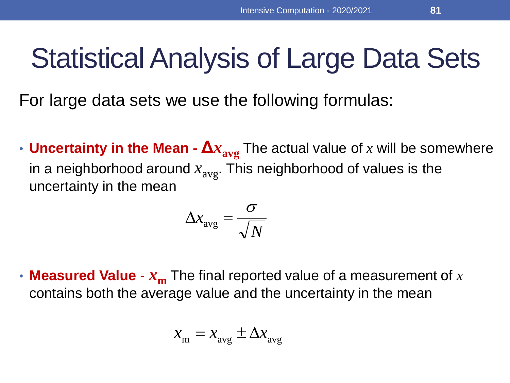For large data sets we use the following formulas:

• **Uncertainty in the Mean -**  $\Delta x_{avg}$  The actual value of x will be somewhere in a neighborhood around  $x_{avg}$ . This neighborhood of values is the uncertainty in the mean

$$
\Delta\!_{\rm avg} = \frac{\sigma}{\sqrt{N}}
$$

• **Measured Value** - *x***<sup>m</sup>** The final reported value of a measurement of *x*  contains both the average value and the uncertainty in the mean

$$
x_{\rm m} = x_{\rm avg} \pm \Delta x_{\rm avg}
$$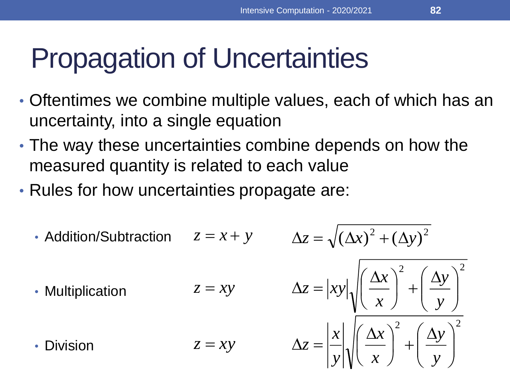## Propagation of Uncertainties

- Oftentimes we combine multiple values, each of which has an uncertainty, into a single equation
- The way these uncertainties combine depends on how the measured quantity is related to each value
- Rules for how uncertainties propagate are:

• Addition/Subtraction 
$$
z = x + y
$$
  $\Delta z = \sqrt{(\Delta x)^2 + (\Delta y)^2}$ 

• Multiplication

• Division

$$
z = x + y \qquad \Delta z = \sqrt{(\Delta x)^{-2} + (\Delta y)^{-1}}
$$
  
\n
$$
z = xy \qquad \Delta z = |xy| \sqrt{\left(\frac{\Delta x}{x}\right)^{2} + \left(\frac{\Delta y}{y}\right)^{2}}
$$
  
\n
$$
z = xy \qquad \Delta z = \left|\frac{x}{y}\right| \sqrt{\left(\frac{\Delta x}{x}\right)^{2} + \left(\frac{\Delta y}{y}\right)^{2}}
$$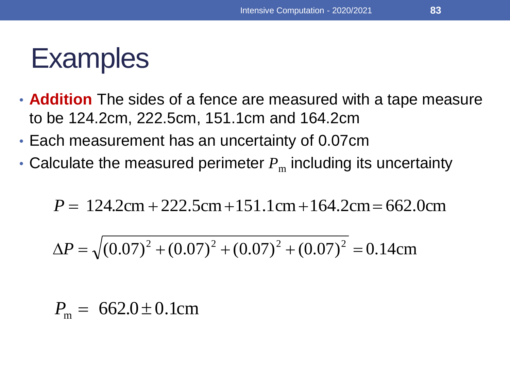- **Addition** The sides of a fence are measured with a tape measure to be 124.2cm, 222.5cm, 151.1cm and 164.2cm
- Each measurement has an uncertainty of 0.07cm
- Calculate the measured perimeter  $P_m$  including its uncertainty

$$
P = 124.2 \text{cm} + 222.5 \text{cm} + 151.1 \text{cm} + 164.2 \text{cm} = 662.0 \text{cm}
$$

$$
P = 124.2 \text{cm} + 222.5 \text{cm} + 151.1 \text{cm} + 164.2 \text{cm} = 662.0 \text{cm}
$$
  
\n
$$
\Delta P = \sqrt{(0.07)^2 + (0.07)^2 + (0.07)^2 + (0.07)^2} = 0.14 \text{cm}
$$
  
\n
$$
P_{\text{cm}} = 662.0 \pm 0.1 \text{cm}
$$

 $P_{\rm m} = 6$